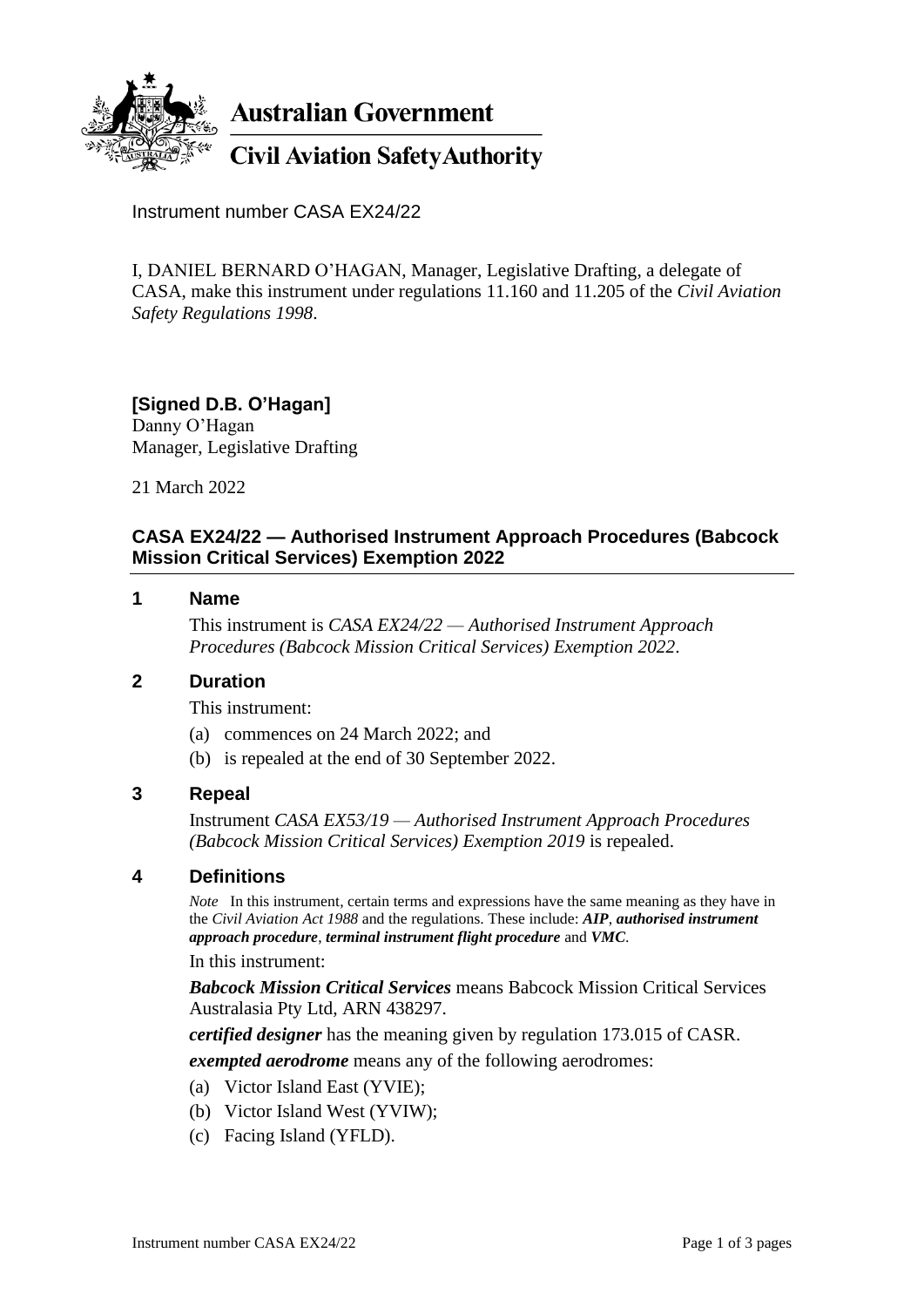

**Australian Government** 

**Civil Aviation Safety Authority** 

Instrument number CASA EX24/22

I, DANIEL BERNARD O'HAGAN, Manager, Legislative Drafting, a delegate of CASA, make this instrument under regulations 11.160 and 11.205 of the *Civil Aviation Safety Regulations 1998*.

# **[Signed D.B. O'Hagan]**

Danny O'Hagan Manager, Legislative Drafting

21 March 2022

## **CASA EX24/22 — Authorised Instrument Approach Procedures (Babcock Mission Critical Services) Exemption 2022**

#### **1 Name**

This instrument is *CASA EX24/22 — Authorised Instrument Approach Procedures (Babcock Mission Critical Services) Exemption 2022*.

## **2 Duration**

This instrument:

- (a) commences on 24 March 2022; and
- (b) is repealed at the end of 30 September 2022.

## **3 Repeal**

Instrument *CASA EX53/19 — Authorised Instrument Approach Procedures (Babcock Mission Critical Services) Exemption 2019* is repealed.

#### **4 Definitions**

*Note* In this instrument, certain terms and expressions have the same meaning as they have in the *Civil Aviation Act 1988* and the regulations. These include: *AIP*, *authorised instrument approach procedure*, *terminal instrument flight procedure* and *VMC*.

In this instrument:

*Babcock Mission Critical Services* means Babcock Mission Critical Services Australasia Pty Ltd, ARN 438297.

*certified designer* has the meaning given by regulation 173.015 of CASR.

*exempted aerodrome* means any of the following aerodromes:

- (a) Victor Island East (YVIE);
- (b) Victor Island West (YVIW);
- (c) Facing Island (YFLD).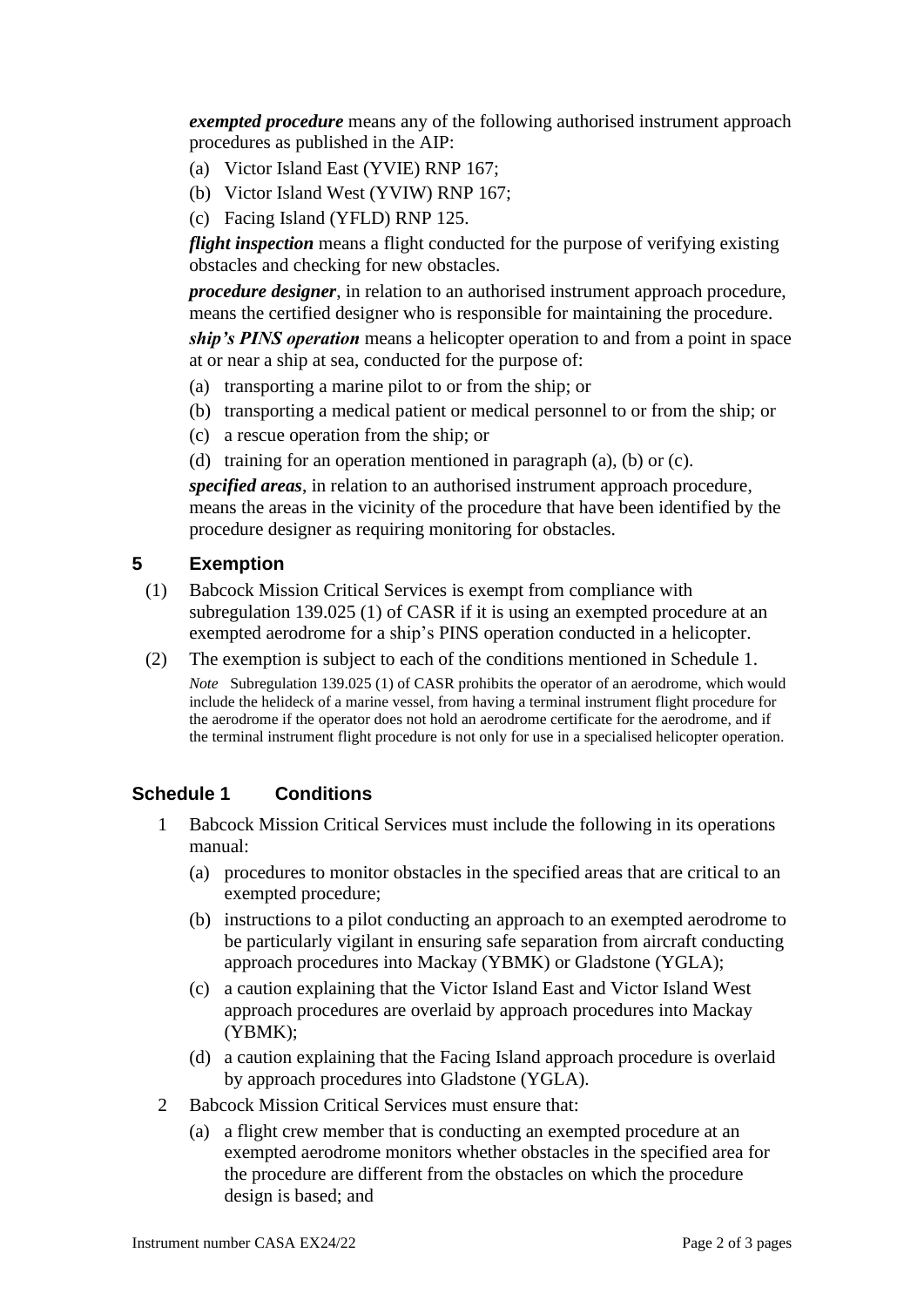*exempted procedure* means any of the following authorised instrument approach procedures as published in the AIP:

- (a) Victor Island East (YVIE) RNP 167;
- (b) Victor Island West (YVIW) RNP 167;
- (c) Facing Island (YFLD) RNP 125.

*flight inspection* means a flight conducted for the purpose of verifying existing obstacles and checking for new obstacles.

*procedure designer*, in relation to an authorised instrument approach procedure, means the certified designer who is responsible for maintaining the procedure.

*ship's PINS operation* means a helicopter operation to and from a point in space at or near a ship at sea, conducted for the purpose of:

- (a) transporting a marine pilot to or from the ship; or
- (b) transporting a medical patient or medical personnel to or from the ship; or
- (c) a rescue operation from the ship; or
- (d) training for an operation mentioned in paragraph (a), (b) or (c).

*specified areas*, in relation to an authorised instrument approach procedure, means the areas in the vicinity of the procedure that have been identified by the procedure designer as requiring monitoring for obstacles.

#### **5 Exemption**

- (1) Babcock Mission Critical Services is exempt from compliance with subregulation 139.025 (1) of CASR if it is using an exempted procedure at an exempted aerodrome for a ship's PINS operation conducted in a helicopter.
- (2) The exemption is subject to each of the conditions mentioned in Schedule 1. *Note* Subregulation 139.025 (1) of CASR prohibits the operator of an aerodrome, which would include the helideck of a marine vessel, from having a terminal instrument flight procedure for the aerodrome if the operator does not hold an aerodrome certificate for the aerodrome, and if the terminal instrument flight procedure is not only for use in a specialised helicopter operation.

## **Schedule 1 Conditions**

- 1 Babcock Mission Critical Services must include the following in its operations manual:
	- (a) procedures to monitor obstacles in the specified areas that are critical to an exempted procedure;
	- (b) instructions to a pilot conducting an approach to an exempted aerodrome to be particularly vigilant in ensuring safe separation from aircraft conducting approach procedures into Mackay (YBMK) or Gladstone (YGLA);
	- (c) a caution explaining that the Victor Island East and Victor Island West approach procedures are overlaid by approach procedures into Mackay (YBMK);
	- (d) a caution explaining that the Facing Island approach procedure is overlaid by approach procedures into Gladstone (YGLA).
- 2 Babcock Mission Critical Services must ensure that:
	- (a) a flight crew member that is conducting an exempted procedure at an exempted aerodrome monitors whether obstacles in the specified area for the procedure are different from the obstacles on which the procedure design is based; and